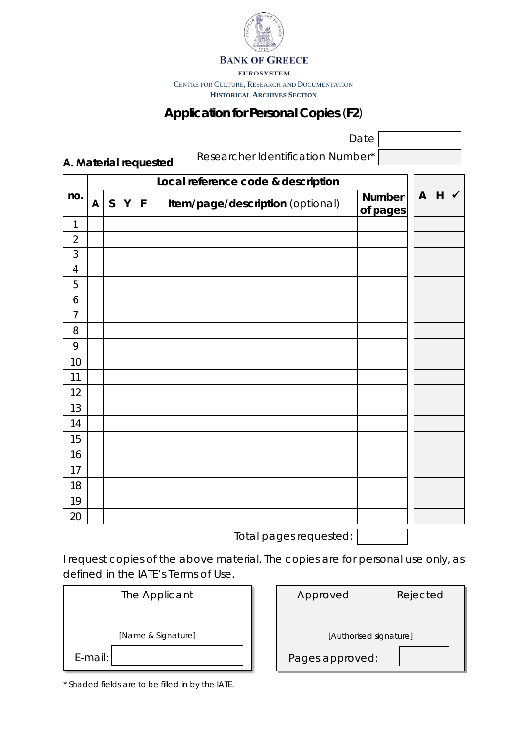

**BANK OF GREECE** 

**EUROSYSTEM** 

CENTRE FOR CULTURE, RESEARCH AND DOCUMENTATION

**HISTORICAL ARCHIVES SECTION**

## **Application for Personal Copies** (**F2**)

Date

**Α. Material requested**

Researcher Identification Number\*

| no.            | Local reference code & description |              |   |             |                                  |                           |              |   |              |
|----------------|------------------------------------|--------------|---|-------------|----------------------------------|---------------------------|--------------|---|--------------|
|                | $\mathsf{A}$                       | $\mathsf{S}$ | Y | $\mathsf F$ | Item/page/description (optional) | <b>Number</b><br>of pages | $\mathsf{A}$ | H | $\checkmark$ |
| $\mathbf{1}$   |                                    |              |   |             |                                  |                           |              |   |              |
| $\overline{2}$ |                                    |              |   |             |                                  |                           |              |   |              |
| $\mathfrak{Z}$ |                                    |              |   |             |                                  |                           |              |   |              |
| $\overline{4}$ |                                    |              |   |             |                                  |                           |              |   |              |
| 5              |                                    |              |   |             |                                  |                           |              |   |              |
| 6              |                                    |              |   |             |                                  |                           |              |   |              |
| $\overline{7}$ |                                    |              |   |             |                                  |                           |              |   |              |
| 8              |                                    |              |   |             |                                  |                           |              |   |              |
| 9              |                                    |              |   |             |                                  |                           |              |   |              |
| 10             |                                    |              |   |             |                                  |                           |              |   |              |
| 11             |                                    |              |   |             |                                  |                           |              |   |              |
| 12             |                                    |              |   |             |                                  |                           |              |   |              |
| 13             |                                    |              |   |             |                                  |                           |              |   |              |
| 14             |                                    |              |   |             |                                  |                           |              |   |              |
| 15             |                                    |              |   |             |                                  |                           |              |   |              |
| 16             |                                    |              |   |             |                                  |                           |              |   |              |
| 17             |                                    |              |   |             |                                  |                           |              |   |              |
| 18             |                                    |              |   |             |                                  |                           |              |   |              |
| 19             |                                    |              |   |             |                                  |                           |              |   |              |
| 20             |                                    |              |   |             |                                  | $\blacksquare$            |              |   |              |

Total pages requested:

I request copies of the above material. The copies are for personal use only, as defined in the IATE's Terms of Use.

|            | The Applicant      |
|------------|--------------------|
|            | [Name & Signature] |
| $E$ -mail: |                    |

| Approved               | Rejected |  |  |  |  |
|------------------------|----------|--|--|--|--|
|                        |          |  |  |  |  |
| [Authorised signature] |          |  |  |  |  |
| Pages approved:        |          |  |  |  |  |

\* Shaded fields are to be filled in by the IATE.